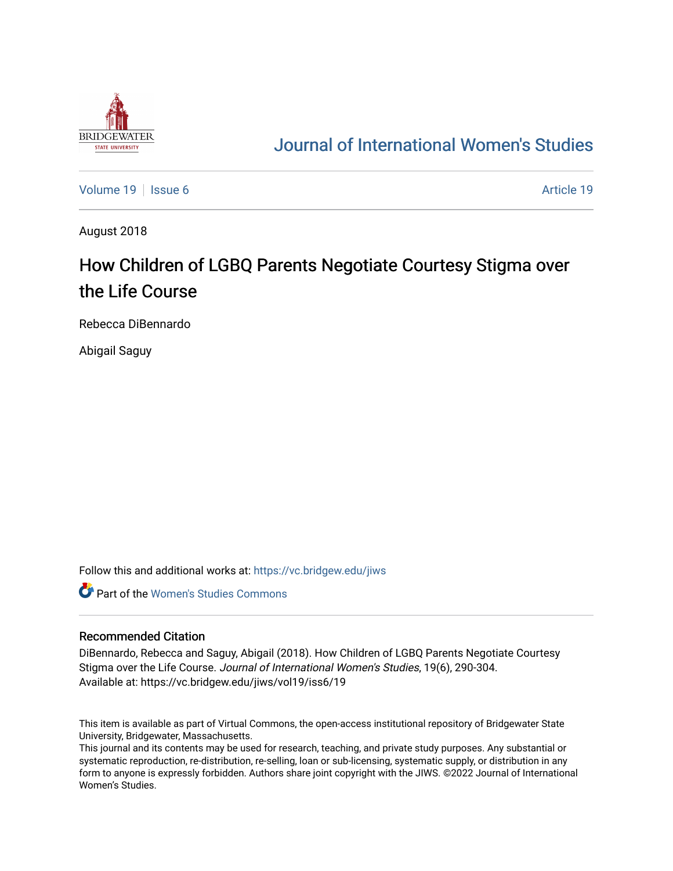

## [Journal of International Women's Studies](https://vc.bridgew.edu/jiws)

[Volume 19](https://vc.bridgew.edu/jiws/vol19) | [Issue 6](https://vc.bridgew.edu/jiws/vol19/iss6) [Article 19](https://vc.bridgew.edu/jiws/vol19/iss6/19) | Issue 6 Article 19 | Issue 6 Article 19 | Issue 6 Article 19 | Issue 6 Article 19

August 2018

# How Children of LGBQ Parents Negotiate Courtesy Stigma over the Life Course

Rebecca DiBennardo

Abigail Saguy

Follow this and additional works at: [https://vc.bridgew.edu/jiws](https://vc.bridgew.edu/jiws?utm_source=vc.bridgew.edu%2Fjiws%2Fvol19%2Fiss6%2F19&utm_medium=PDF&utm_campaign=PDFCoverPages)

**C** Part of the Women's Studies Commons

#### Recommended Citation

DiBennardo, Rebecca and Saguy, Abigail (2018). How Children of LGBQ Parents Negotiate Courtesy Stigma over the Life Course. Journal of International Women's Studies, 19(6), 290-304. Available at: https://vc.bridgew.edu/jiws/vol19/iss6/19

This item is available as part of Virtual Commons, the open-access institutional repository of Bridgewater State University, Bridgewater, Massachusetts.

This journal and its contents may be used for research, teaching, and private study purposes. Any substantial or systematic reproduction, re-distribution, re-selling, loan or sub-licensing, systematic supply, or distribution in any form to anyone is expressly forbidden. Authors share joint copyright with the JIWS. ©2022 Journal of International Women's Studies.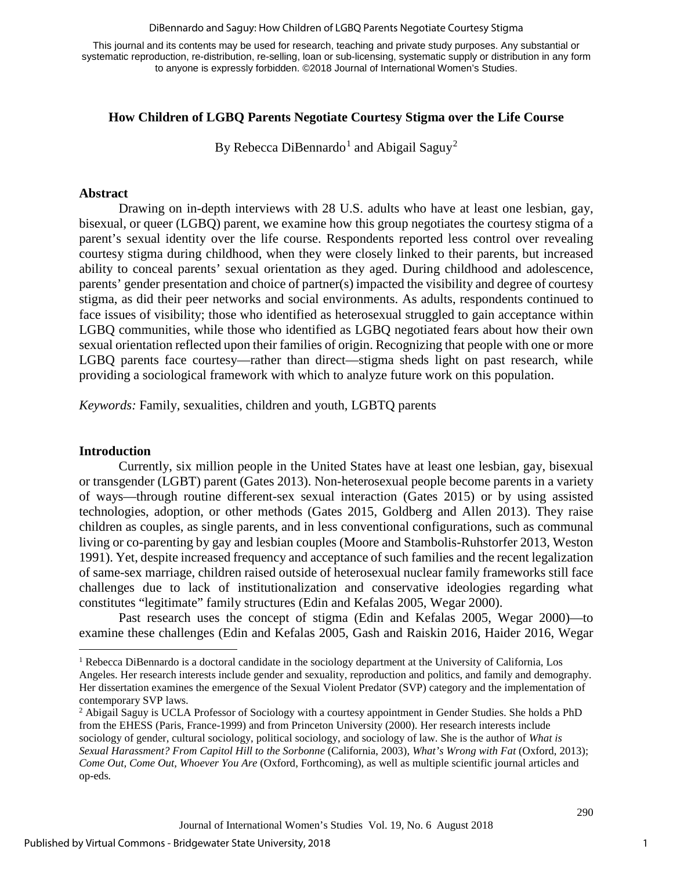#### DiBennardo and Saguy: How Children of LGBQ Parents Negotiate Courtesy Stigma

This journal and its contents may be used for research, teaching and private study purposes. Any substantial or systematic reproduction, re-distribution, re-selling, loan or sub-licensing, systematic supply or distribution in any form to anyone is expressly forbidden. ©2018 Journal of International Women's Studies.

#### **How Children of LGBQ Parents Negotiate Courtesy Stigma over the Life Course**

By Rebecca DiBennardo<sup>[1](#page-1-0)</sup> and Abigail Saguy<sup>[2](#page-1-1)</sup>

#### **Abstract**

Drawing on in-depth interviews with 28 U.S. adults who have at least one lesbian, gay, bisexual, or queer (LGBQ) parent, we examine how this group negotiates the courtesy stigma of a parent's sexual identity over the life course. Respondents reported less control over revealing courtesy stigma during childhood, when they were closely linked to their parents, but increased ability to conceal parents' sexual orientation as they aged. During childhood and adolescence, parents' gender presentation and choice of partner(s) impacted the visibility and degree of courtesy stigma, as did their peer networks and social environments. As adults, respondents continued to face issues of visibility; those who identified as heterosexual struggled to gain acceptance within LGBQ communities, while those who identified as LGBQ negotiated fears about how their own sexual orientation reflected upon their families of origin. Recognizing that people with one or more LGBQ parents face courtesy—rather than direct—stigma sheds light on past research, while providing a sociological framework with which to analyze future work on this population.

*Keywords:* Family, sexualities, children and youth, LGBTQ parents

#### **Introduction**

 $\overline{a}$ 

Currently, six million people in the United States have at least one lesbian, gay, bisexual or transgender (LGBT) parent [\(Gates 2013\)](#page-13-0). Non-heterosexual people become parents in a variety of ways—through routine different-sex sexual interaction [\(Gates 2015\)](#page-14-0) or by using assisted technologies, adoption, or other methods [\(Gates 2015,](#page-13-1) [Goldberg and Allen 2013\)](#page-14-1). They raise children as couples, as single parents, and in less conventional configurations, such as communal living or co-parenting by gay and lesbian couples [\(Moore and Stambolis-Ruhstorfer 2013,](#page-15-0) [Weston](#page-15-1)  [1991\)](#page-15-1). Yet, despite increased frequency and acceptance of such families and the recent legalization of same-sex marriage, children raised outside of heterosexual nuclear family frameworks still face challenges due to lack of institutionalization and conservative ideologies regarding what constitutes "legitimate" family structures [\(Edin and Kefalas 2005,](#page-13-2) [Wegar 2000\)](#page-15-2).

Past research uses the concept of stigma [\(Edin and Kefalas 2005,](#page-13-2) [Wegar 2000\)](#page-15-2)—to examine these challenges [\(Edin and Kefalas 2005,](#page-13-2) [Gash and Raiskin 2016,](#page-13-3) [Haider 2016,](#page-14-2) [Wegar](#page-15-2) 

<span id="page-1-0"></span><sup>1</sup> Rebecca DiBennardo is a doctoral candidate in the sociology department at the University of California, Los Angeles. Her research interests include gender and sexuality, reproduction and politics, and family and demography. Her dissertation examines the emergence of the Sexual Violent Predator (SVP) category and the implementation of contemporary SVP laws.<br><sup>2</sup> Abigail Saguy is UCLA Professor of Sociology with a courtesy appointment in Gender Studies. She holds a PhD

<span id="page-1-1"></span>from the EHESS (Paris, France-1999) and from Princeton University (2000). Her research interests include sociology of gender, cultural sociology, political sociology, and sociology of law. She is the author of *What is Sexual Harassment? From Capitol Hill to the Sorbonne* (California, 2003), *What's Wrong with Fat* (Oxford, 2013); *Come Out, Come Out, Whoever You Are* (Oxford, Forthcoming), as well as multiple scientific journal articles and op-eds*.*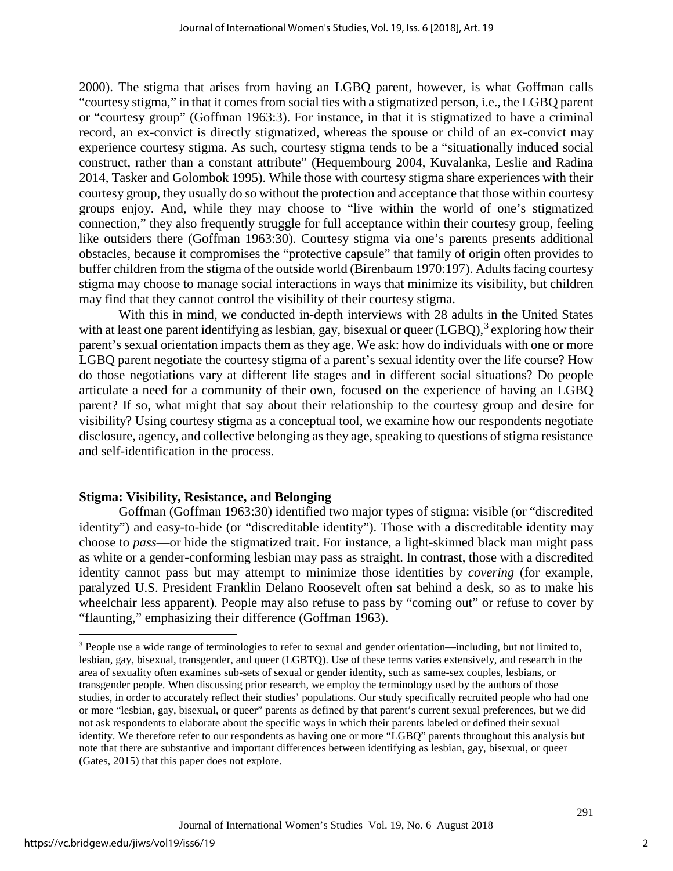[2000\)](#page-15-2). The stigma that arises from having an LGBQ parent, however, is what Goffman calls "courtesy stigma," in that it comes from social ties with a stigmatized person, i.e., the LGBQ parent or "courtesy group" [\(Goffman 1963:3\)](#page-13-4). For instance, in that it is stigmatized to have a criminal record, an ex-convict is directly stigmatized, whereas the spouse or child of an ex-convict may experience courtesy stigma. As such, courtesy stigma tends to be a "situationally induced social construct, rather than a constant attribute" [\(Hequembourg 2004,](#page-14-3) [Kuvalanka, Leslie and Radina](#page-14-4)  [2014,](#page-14-4) [Tasker and Golombok 1995\)](#page-15-3). While those with courtesy stigma share experiences with their courtesy group, they usually do so without the protection and acceptance that those within courtesy groups enjoy. And, while they may choose to "live within the world of one's stigmatized connection," they also frequently struggle for full acceptance within their courtesy group, feeling like outsiders there [\(Goffman 1963:30\)](#page-13-4). Courtesy stigma via one's parents presents additional obstacles, because it compromises the "protective capsule" that family of origin often provides to buffer children from the stigma of the outside world [\(Birenbaum 1970:197\)](#page-13-5). Adults facing courtesy stigma may choose to manage social interactions in ways that minimize its visibility, but children may find that they cannot control the visibility of their courtesy stigma.

With this in mind, we conducted in-depth interviews with 28 adults in the United States with at least one parent identifying as lesbian, gay, bisexual or queer  $(LGBQ)$ ,  $3$  exploring how their parent's sexual orientation impacts them as they age. We ask: how do individuals with one or more LGBQ parent negotiate the courtesy stigma of a parent's sexual identity over the life course? How do those negotiations vary at different life stages and in different social situations? Do people articulate a need for a community of their own, focused on the experience of having an LGBQ parent? If so, what might that say about their relationship to the courtesy group and desire for visibility? Using courtesy stigma as a conceptual tool, we examine how our respondents negotiate disclosure, agency, and collective belonging as they age, speaking to questions of stigma resistance and self-identification in the process.

## **Stigma: Visibility, Resistance, and Belonging**

Goffman [\(Goffman 1963:30\)](#page-13-4) identified two major types of stigma: visible (or "discredited identity") and easy-to-hide (or "discreditable identity"). Those with a discreditable identity may choose to *pass*—or hide the stigmatized trait. For instance, a light-skinned black man might pass as white or a gender-conforming lesbian may pass as straight. In contrast, those with a discredited identity cannot pass but may attempt to minimize those identities by *covering* (for example, paralyzed U.S. President Franklin Delano Roosevelt often sat behind a desk, so as to make his wheelchair less apparent). People may also refuse to pass by "coming out" or refuse to cover by "flaunting," emphasizing their difference [\(Goffman 1963\)](#page-13-4).

 $\overline{a}$ 

<span id="page-2-0"></span><sup>3</sup> People use a wide range of terminologies to refer to sexual and gender orientation—including, but not limited to, lesbian, gay, bisexual, transgender, and queer (LGBTQ). Use of these terms varies extensively, and research in the area of sexuality often examines sub-sets of sexual or gender identity, such as same-sex couples, lesbians, or transgender people. When discussing prior research, we employ the terminology used by the authors of those studies, in order to accurately reflect their studies' populations. Our study specifically recruited people who had one or more "lesbian, gay, bisexual, or queer" parents as defined by that parent's current sexual preferences, but we did not ask respondents to elaborate about the specific ways in which their parents labeled or defined their sexual identity. We therefore refer to our respondents as having one or more "LGBQ" parents throughout this analysis but note that there are substantive and important differences between identifying as lesbian, gay, bisexual, or queer (Gates, 2015) that this paper does not explore.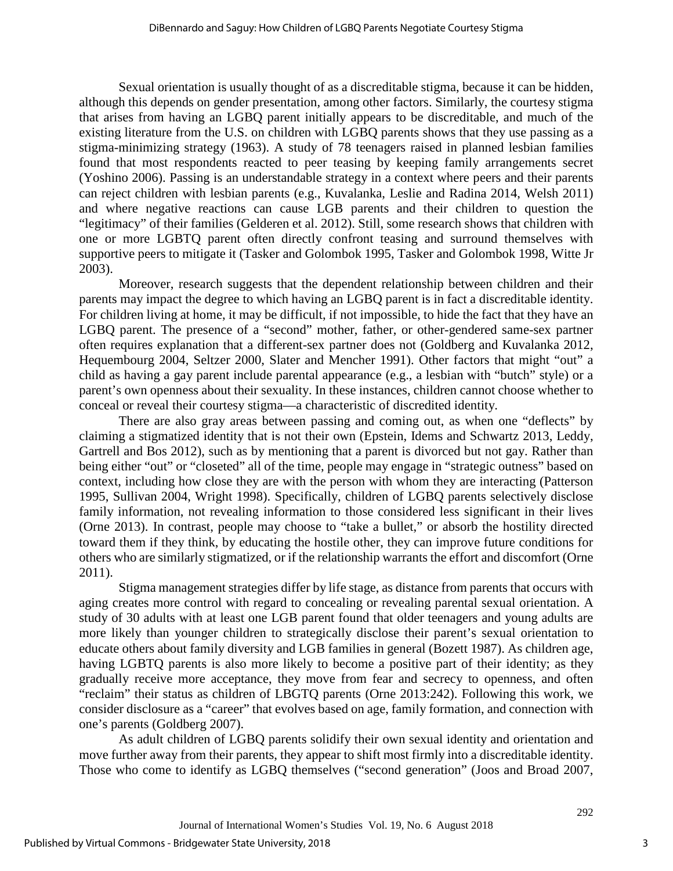Sexual orientation is usually thought of as a discreditable stigma, because it can be hidden, although this depends on gender presentation, among other factors. Similarly, the courtesy stigma that arises from having an LGBQ parent initially appears to be discreditable, and much of the existing literature from the U.S. on children with LGBQ parents shows that they use passing as a stigma-minimizing strategy [\(1963\)](#page-13-4). A study of 78 teenagers raised in planned lesbian families found that most respondents reacted to peer teasing by keeping family arrangements secret [\(Yoshino 2006\)](#page-15-4). Passing is an understandable strategy in a context where peers and their parents can reject children with lesbian parents (e.g., [Kuvalanka, Leslie and Radina 2014,](#page-14-4) [Welsh 2011\)](#page-15-5) and where negative reactions can cause LGB parents and their children to question the "legitimacy" of their families [\(Gelderen et al. 2012\)](#page-13-6). Still, some research shows that children with one or more LGBTQ parent often directly confront teasing and surround themselves with supportive peers to mitigate it [\(Tasker and Golombok 1995,](#page-15-3) [Tasker and Golombok 1998,](#page-15-6) [Witte Jr](#page-15-7)  [2003\)](#page-15-7).

Moreover, research suggests that the dependent relationship between children and their parents may impact the degree to which having an LGBQ parent is in fact a discreditable identity. For children living at home, it may be difficult, if not impossible, to hide the fact that they have an LGBQ parent. The presence of a "second" mother, father, or other-gendered same-sex partner often requires explanation that a different-sex partner does not [\(Goldberg and Kuvalanka 2012,](#page-14-5) [Hequembourg 2004,](#page-14-3) [Seltzer 2000,](#page-15-8) [Slater and Mencher 1991\)](#page-15-9). Other factors that might "out" a child as having a gay parent include parental appearance (e.g., a lesbian with "butch" style) or a parent's own openness about their sexuality. In these instances, children cannot choose whether to conceal or reveal their courtesy stigma—a characteristic of discredited identity.

There are also gray areas between passing and coming out, as when one "deflects" by claiming a stigmatized identity that is not their own [\(Epstein, Idems and Schwartz 2013,](#page-13-7) [Leddy,](#page-14-6)  [Gartrell and Bos 2012\)](#page-14-6), such as by mentioning that a parent is divorced but not gay. Rather than being either "out" or "closeted" all of the time, people may engage in "strategic outness" based on context, including how close they are with the person with whom they are interacting [\(Patterson](#page-15-10)  [1995,](#page-15-10) [Sullivan 2004,](#page-15-11) [Wright 1998\)](#page-15-12). Specifically, children of LGBQ parents selectively disclose family information, not revealing information to those considered less significant in their lives [\(Orne 2013\)](#page-15-13). In contrast, people may choose to "take a bullet," or absorb the hostility directed toward them if they think, by educating the hostile other, they can improve future conditions for others who are similarly stigmatized, or if the relationship warrants the effort and discomfort [\(Orne](#page-15-14)  [2011\)](#page-15-14).

Stigma management strategies differ by life stage, as distance from parents that occurs with aging creates more control with regard to concealing or revealing parental sexual orientation. A study of 30 adults with at least one LGB parent found that older teenagers and young adults are more likely than younger children to strategically disclose their parent's sexual orientation to educate others about family diversity and LGB families in general [\(Bozett 1987\)](#page-13-8). As children age, having LGBTQ parents is also more likely to become a positive part of their identity; as they gradually receive more acceptance, they move from fear and secrecy to openness, and often "reclaim" their status as children of LBGTQ parents [\(Orne 2013:242\)](#page-15-13). Following this work, we consider disclosure as a "career" that evolves based on age, family formation, and connection with one's parents [\(Goldberg 2007\)](#page-13-9).

As adult children of LGBQ parents solidify their own sexual identity and orientation and move further away from their parents, they appear to shift most firmly into a discreditable identity. Those who come to identify as LGBQ themselves ("second generation" [\(Joos and Broad 2007,](#page-14-7)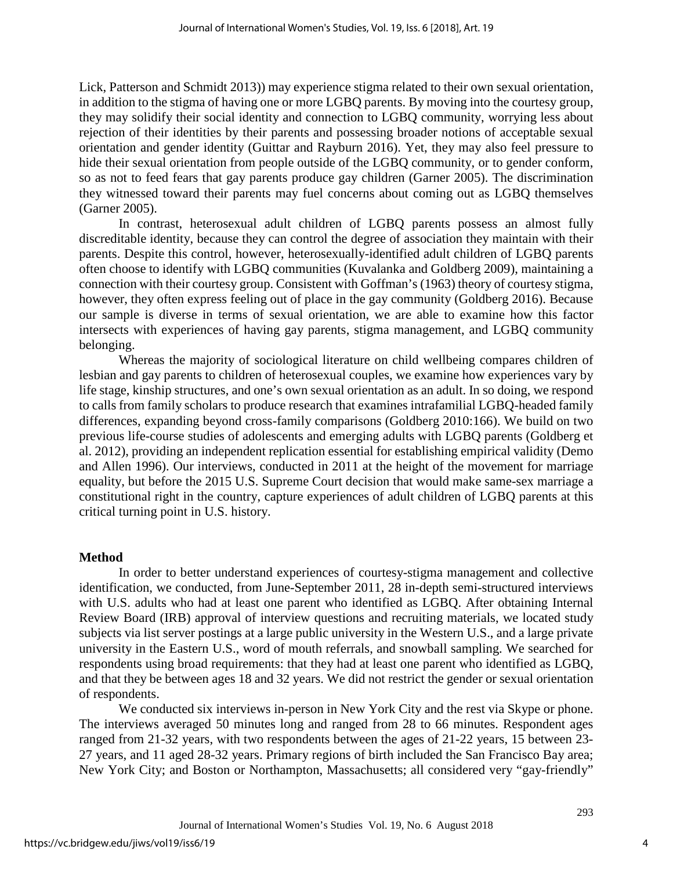[Lick, Patterson and Schmidt 2013\)](#page-14-8)) may experience stigma related to their own sexual orientation, in addition to the stigma of having one or more LGBQ parents. By moving into the courtesy group, they may solidify their social identity and connection to LGBQ community, worrying less about rejection of their identities by their parents and possessing broader notions of acceptable sexual orientation and gender identity [\(Guittar and Rayburn 2016\)](#page-14-9). Yet, they may also feel pressure to hide their sexual orientation from people outside of the LGBQ community, or to gender conform, so as not to feed fears that gay parents produce gay children [\(Garner 2005\)](#page-13-10). The discrimination they witnessed toward their parents may fuel concerns about coming out as LGBQ themselves [\(Garner 2005\)](#page-13-10).

In contrast, heterosexual adult children of LGBQ parents possess an almost fully discreditable identity, because they can control the degree of association they maintain with their parents. Despite this control, however, heterosexually-identified adult children of LGBQ parents often choose to identify with LGBQ communities [\(Kuvalanka and Goldberg 2009\)](#page-14-10), maintaining a connection with their courtesy group. Consistent with Goffman's (1963) theory of courtesy stigma, however, they often express feeling out of place in the gay community [\(Goldberg 2016\)](#page-14-11). Because our sample is diverse in terms of sexual orientation, we are able to examine how this factor intersects with experiences of having gay parents, stigma management, and LGBQ community belonging.

Whereas the majority of sociological literature on child wellbeing compares children of lesbian and gay parents to children of heterosexual couples, we examine how experiences vary by life stage, kinship structures, and one's own sexual orientation as an adult. In so doing, we respond to calls from family scholars to produce research that examines intrafamilial LGBQ-headed family differences, expanding beyond cross-family comparisons [\(Goldberg 2010:166\)](#page-13-11). We build on two previous life-course studies of adolescents and emerging adults with LGBQ parents [\(Goldberg et](#page-14-0)  [al. 2012\)](#page-14-0), providing an independent replication essential for establishing empirical validity [\(Demo](#page-13-12)  [and Allen 1996\)](#page-13-12). Our interviews, conducted in 2011 at the height of the movement for marriage equality, but before the 2015 U.S. Supreme Court decision that would make same-sex marriage a constitutional right in the country, capture experiences of adult children of LGBQ parents at this critical turning point in U.S. history.

## **Method**

In order to better understand experiences of courtesy-stigma management and collective identification, we conducted, from June-September 2011, 28 in-depth semi-structured interviews with U.S. adults who had at least one parent who identified as LGBQ. After obtaining Internal Review Board (IRB) approval of interview questions and recruiting materials, we located study subjects via list server postings at a large public university in the Western U.S., and a large private university in the Eastern U.S., word of mouth referrals, and snowball sampling. We searched for respondents using broad requirements: that they had at least one parent who identified as LGBQ, and that they be between ages 18 and 32 years. We did not restrict the gender or sexual orientation of respondents.

We conducted six interviews in-person in New York City and the rest via Skype or phone. The interviews averaged 50 minutes long and ranged from 28 to 66 minutes. Respondent ages ranged from 21-32 years, with two respondents between the ages of 21-22 years, 15 between 23- 27 years, and 11 aged 28-32 years. Primary regions of birth included the San Francisco Bay area; New York City; and Boston or Northampton, Massachusetts; all considered very "gay-friendly"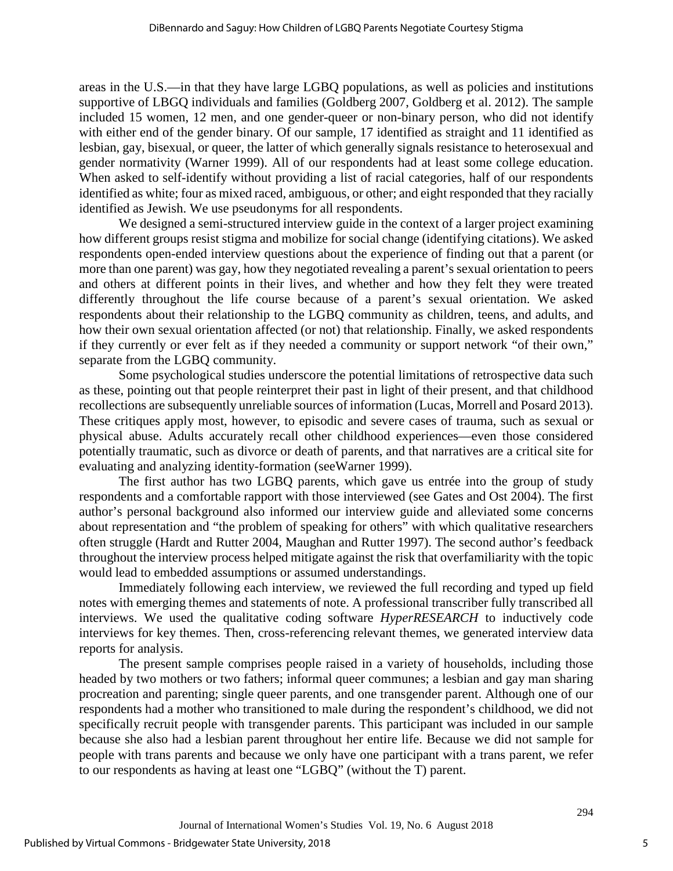areas in the U.S.—in that they have large LGBQ populations, as well as policies and institutions supportive of LBGQ individuals and families [\(Goldberg 2007,](#page-13-9) [Goldberg et al. 2012\)](#page-14-0). The sample included 15 women, 12 men, and one gender-queer or non-binary person, who did not identify with either end of the gender binary. Of our sample, 17 identified as straight and 11 identified as lesbian, gay, bisexual, or queer, the latter of which generally signals resistance to heterosexual and gender normativity [\(Warner 1999\)](#page-15-15). All of our respondents had at least some college education. When asked to self-identify without providing a list of racial categories, half of our respondents identified as white; four as mixed raced, ambiguous, or other; and eight responded that they racially identified as Jewish. We use pseudonyms for all respondents.

We designed a semi-structured interview guide in the context of a larger project examining how different groups resist stigma and mobilize for social change (identifying citations). We asked respondents open-ended interview questions about the experience of finding out that a parent (or more than one parent) was gay, how they negotiated revealing a parent's sexual orientation to peers and others at different points in their lives, and whether and how they felt they were treated differently throughout the life course because of a parent's sexual orientation. We asked respondents about their relationship to the LGBQ community as children, teens, and adults, and how their own sexual orientation affected (or not) that relationship. Finally, we asked respondents if they currently or ever felt as if they needed a community or support network "of their own," separate from the LGBQ community.

Some psychological studies underscore the potential limitations of retrospective data such as these, pointing out that people reinterpret their past in light of their present, and that childhood recollections are subsequently unreliable sources of information [\(Lucas, Morrell and Posard 2013\)](#page-14-12). These critiques apply most, however, to episodic and severe cases of trauma, such as sexual or physical abuse. Adults accurately recall other childhood experiences—even those considered potentially traumatic, such as divorce or death of parents, and that narratives are a critical site for evaluating and analyzing identity-formation [\(seeWarner 1999\)](#page-15-15).

The first author has two LGBQ parents, which gave us entrée into the group of study respondents and a comfortable rapport with those interviewed [\(see Gates and Ost 2004\)](#page-13-13). The first author's personal background also informed our interview guide and alleviated some concerns about representation and "the problem of speaking for others" with which qualitative researchers often struggle [\(Hardt and Rutter 2004,](#page-14-13) [Maughan and Rutter 1997\)](#page-14-14). The second author's feedback throughout the interview process helped mitigate against the risk that overfamiliarity with the topic would lead to embedded assumptions or assumed understandings.

Immediately following each interview, we reviewed the full recording and typed up field notes with emerging themes and statements of note. A professional transcriber fully transcribed all interviews. We used the qualitative coding software *HyperRESEARCH* to inductively code interviews for key themes. Then, cross-referencing relevant themes, we generated interview data reports for analysis.

The present sample comprises people raised in a variety of households, including those headed by two mothers or two fathers; informal queer communes; a lesbian and gay man sharing procreation and parenting; single queer parents, and one transgender parent. Although one of our respondents had a mother who transitioned to male during the respondent's childhood, we did not specifically recruit people with transgender parents. This participant was included in our sample because she also had a lesbian parent throughout her entire life. Because we did not sample for people with trans parents and because we only have one participant with a trans parent, we refer to our respondents as having at least one "LGBQ" (without the T) parent.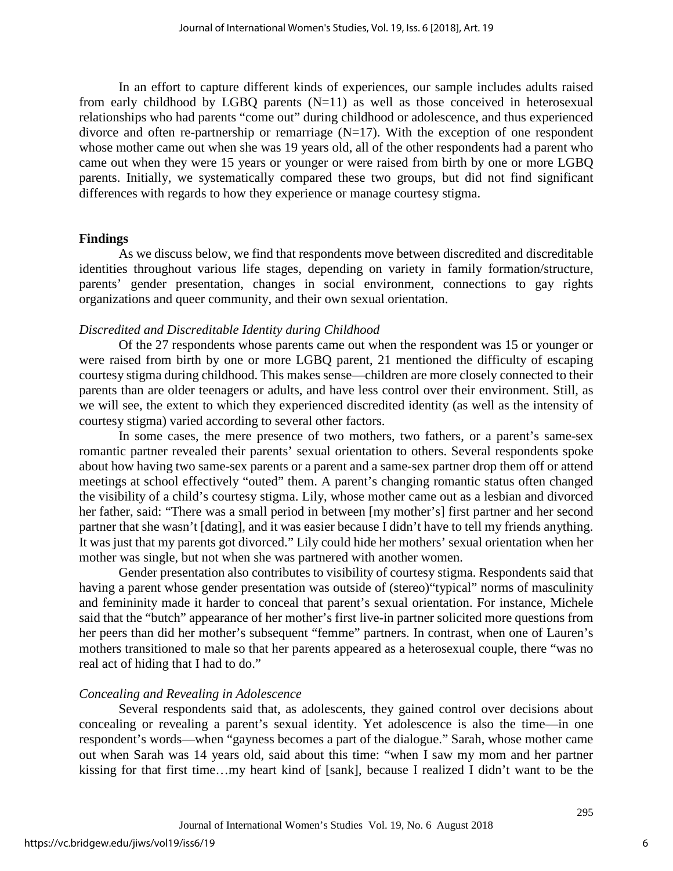In an effort to capture different kinds of experiences, our sample includes adults raised from early childhood by LGBQ parents  $(N=11)$  as well as those conceived in heterosexual relationships who had parents "come out" during childhood or adolescence, and thus experienced divorce and often re-partnership or remarriage  $(N=17)$ . With the exception of one respondent whose mother came out when she was 19 years old, all of the other respondents had a parent who came out when they were 15 years or younger or were raised from birth by one or more LGBQ parents. Initially, we systematically compared these two groups, but did not find significant differences with regards to how they experience or manage courtesy stigma.

#### **Findings**

As we discuss below, we find that respondents move between discredited and discreditable identities throughout various life stages, depending on variety in family formation/structure, parents' gender presentation, changes in social environment, connections to gay rights organizations and queer community, and their own sexual orientation.

## *Discredited and Discreditable Identity during Childhood*

Of the 27 respondents whose parents came out when the respondent was 15 or younger or were raised from birth by one or more LGBQ parent, 21 mentioned the difficulty of escaping courtesy stigma during childhood. This makes sense—children are more closely connected to their parents than are older teenagers or adults, and have less control over their environment. Still, as we will see, the extent to which they experienced discredited identity (as well as the intensity of courtesy stigma) varied according to several other factors.

In some cases, the mere presence of two mothers, two fathers, or a parent's same-sex romantic partner revealed their parents' sexual orientation to others. Several respondents spoke about how having two same-sex parents or a parent and a same-sex partner drop them off or attend meetings at school effectively "outed" them. A parent's changing romantic status often changed the visibility of a child's courtesy stigma. Lily, whose mother came out as a lesbian and divorced her father, said: "There was a small period in between [my mother's] first partner and her second partner that she wasn't [dating], and it was easier because I didn't have to tell my friends anything. It was just that my parents got divorced." Lily could hide her mothers' sexual orientation when her mother was single, but not when she was partnered with another women.

Gender presentation also contributes to visibility of courtesy stigma. Respondents said that having a parent whose gender presentation was outside of (stereo)"typical" norms of masculinity and femininity made it harder to conceal that parent's sexual orientation. For instance, Michele said that the "butch" appearance of her mother's first live-in partner solicited more questions from her peers than did her mother's subsequent "femme" partners. In contrast, when one of Lauren's mothers transitioned to male so that her parents appeared as a heterosexual couple, there "was no real act of hiding that I had to do."

## *Concealing and Revealing in Adolescence*

Several respondents said that, as adolescents, they gained control over decisions about concealing or revealing a parent's sexual identity. Yet adolescence is also the time—in one respondent's words—when "gayness becomes a part of the dialogue." Sarah, whose mother came out when Sarah was 14 years old, said about this time: "when I saw my mom and her partner kissing for that first time…my heart kind of [sank], because I realized I didn't want to be the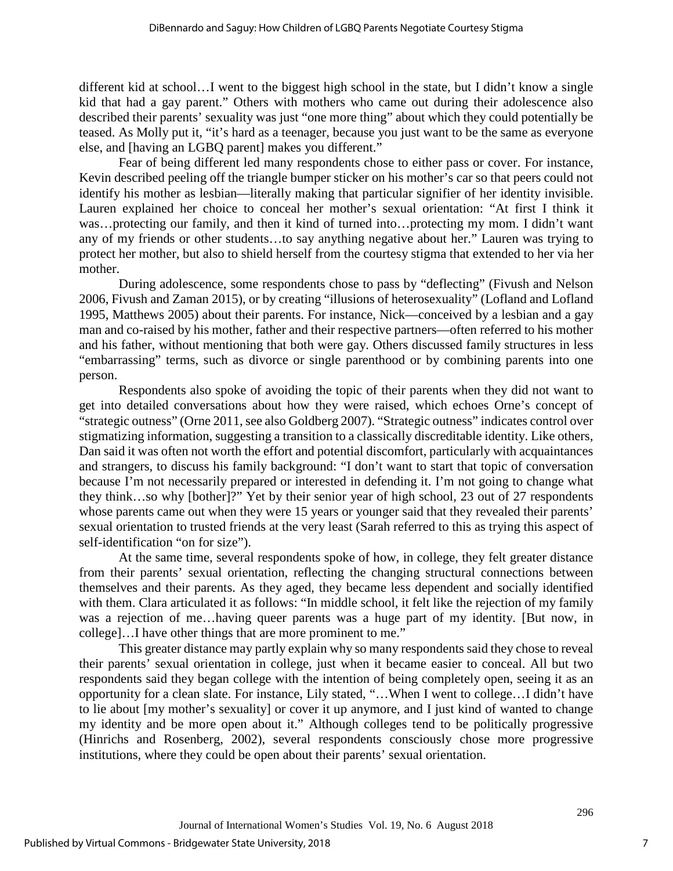different kid at school…I went to the biggest high school in the state, but I didn't know a single kid that had a gay parent." Others with mothers who came out during their adolescence also described their parents' sexuality was just "one more thing" about which they could potentially be teased. As Molly put it, "it's hard as a teenager, because you just want to be the same as everyone else, and [having an LGBQ parent] makes you different."

Fear of being different led many respondents chose to either pass or cover. For instance, Kevin described peeling off the triangle bumper sticker on his mother's car so that peers could not identify his mother as lesbian—literally making that particular signifier of her identity invisible. Lauren explained her choice to conceal her mother's sexual orientation: "At first I think it was…protecting our family, and then it kind of turned into…protecting my mom. I didn't want any of my friends or other students…to say anything negative about her." Lauren was trying to protect her mother, but also to shield herself from the courtesy stigma that extended to her via her mother.

During adolescence, some respondents chose to pass by "deflecting" [\(Fivush and Nelson](#page-13-14)  [2006,](#page-13-14) [Fivush and Zaman 2015\)](#page-13-15), or by creating "illusions of heterosexuality" [\(Lofland and Lofland](#page-14-15)  [1995,](#page-14-15) [Matthews 2005\)](#page-14-16) about their parents. For instance, Nick—conceived by a lesbian and a gay man and co-raised by his mother, father and their respective partners—often referred to his mother and his father, without mentioning that both were gay. Others discussed family structures in less "embarrassing" terms, such as divorce or single parenthood or by combining parents into one person.

Respondents also spoke of avoiding the topic of their parents when they did not want to get into detailed conversations about how they were raised, which echoes Orne's concept of "strategic outness" (Orne 2011, see also Goldberg 2007). "Strategic outness" indicates control over stigmatizing information, suggesting a transition to a classically discreditable identity. Like others, Dan said it was often not worth the effort and potential discomfort, particularly with acquaintances and strangers, to discuss his family background: "I don't want to start that topic of conversation because I'm not necessarily prepared or interested in defending it. I'm not going to change what they think…so why [bother]?" Yet by their senior year of high school, 23 out of 27 respondents whose parents came out when they were 15 years or younger said that they revealed their parents' sexual orientation to trusted friends at the very least (Sarah referred to this as trying this aspect of self-identification "on for size").

At the same time, several respondents spoke of how, in college, they felt greater distance from their parents' sexual orientation, reflecting the changing structural connections between themselves and their parents. As they aged, they became less dependent and socially identified with them. Clara articulated it as follows: "In middle school, it felt like the rejection of my family was a rejection of me…having queer parents was a huge part of my identity. [But now, in college]…I have other things that are more prominent to me."

This greater distance may partly explain why so many respondents said they chose to reveal their parents' sexual orientation in college, just when it became easier to conceal. All but two respondents said they began college with the intention of being completely open, seeing it as an opportunity for a clean slate. For instance, Lily stated, "…When I went to college…I didn't have to lie about [my mother's sexuality] or cover it up anymore, and I just kind of wanted to change my identity and be more open about it." Although colleges tend to be politically progressive (Hinrichs and Rosenberg, 2002), several respondents consciously chose more progressive institutions, where they could be open about their parents' sexual orientation.

7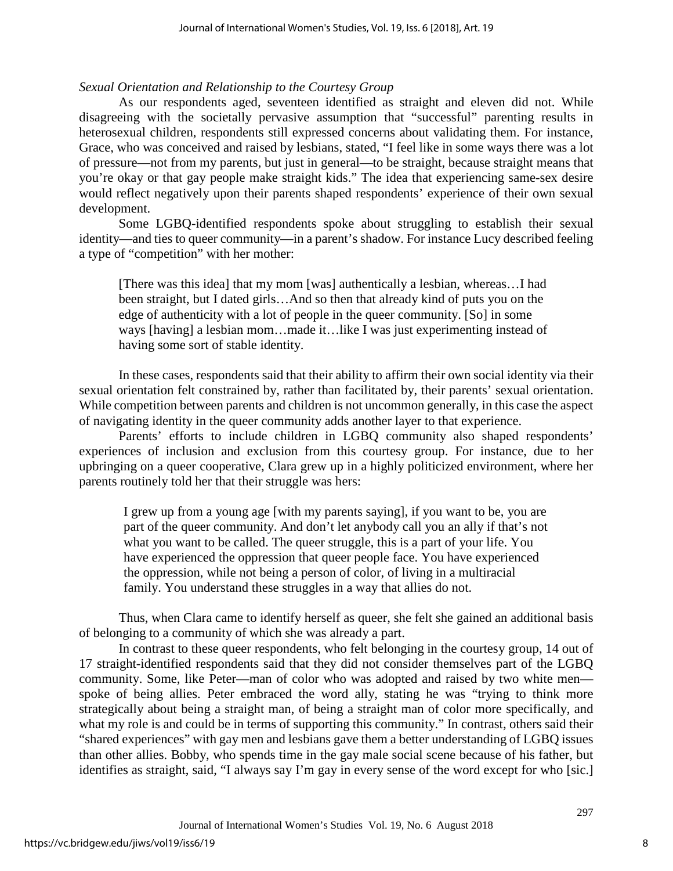## *Sexual Orientation and Relationship to the Courtesy Group*

As our respondents aged, seventeen identified as straight and eleven did not. While disagreeing with the societally pervasive assumption that "successful" parenting results in heterosexual children, respondents still expressed concerns about validating them. For instance, Grace, who was conceived and raised by lesbians, stated, "I feel like in some ways there was a lot of pressure—not from my parents, but just in general—to be straight, because straight means that you're okay or that gay people make straight kids." The idea that experiencing same-sex desire would reflect negatively upon their parents shaped respondents' experience of their own sexual development.

Some LGBQ-identified respondents spoke about struggling to establish their sexual identity—and ties to queer community—in a parent's shadow. For instance Lucy described feeling a type of "competition" with her mother:

[There was this idea] that my mom [was] authentically a lesbian, whereas…I had been straight, but I dated girls…And so then that already kind of puts you on the edge of authenticity with a lot of people in the queer community. [So] in some ways [having] a lesbian mom…made it…like I was just experimenting instead of having some sort of stable identity.

In these cases, respondents said that their ability to affirm their own social identity via their sexual orientation felt constrained by, rather than facilitated by, their parents' sexual orientation. While competition between parents and children is not uncommon generally, in this case the aspect of navigating identity in the queer community adds another layer to that experience.

Parents' efforts to include children in LGBQ community also shaped respondents' experiences of inclusion and exclusion from this courtesy group. For instance, due to her upbringing on a queer cooperative, Clara grew up in a highly politicized environment, where her parents routinely told her that their struggle was hers:

I grew up from a young age [with my parents saying], if you want to be, you are part of the queer community. And don't let anybody call you an ally if that's not what you want to be called. The queer struggle, this is a part of your life. You have experienced the oppression that queer people face. You have experienced the oppression, while not being a person of color, of living in a multiracial family. You understand these struggles in a way that allies do not.

Thus, when Clara came to identify herself as queer, she felt she gained an additional basis of belonging to a community of which she was already a part.

In contrast to these queer respondents, who felt belonging in the courtesy group, 14 out of 17 straight-identified respondents said that they did not consider themselves part of the LGBQ community. Some, like Peter—man of color who was adopted and raised by two white men spoke of being allies. Peter embraced the word ally, stating he was "trying to think more strategically about being a straight man, of being a straight man of color more specifically, and what my role is and could be in terms of supporting this community." In contrast, others said their "shared experiences" with gay men and lesbians gave them a better understanding of LGBQ issues than other allies. Bobby, who spends time in the gay male social scene because of his father, but identifies as straight, said, "I always say I'm gay in every sense of the word except for who [sic.]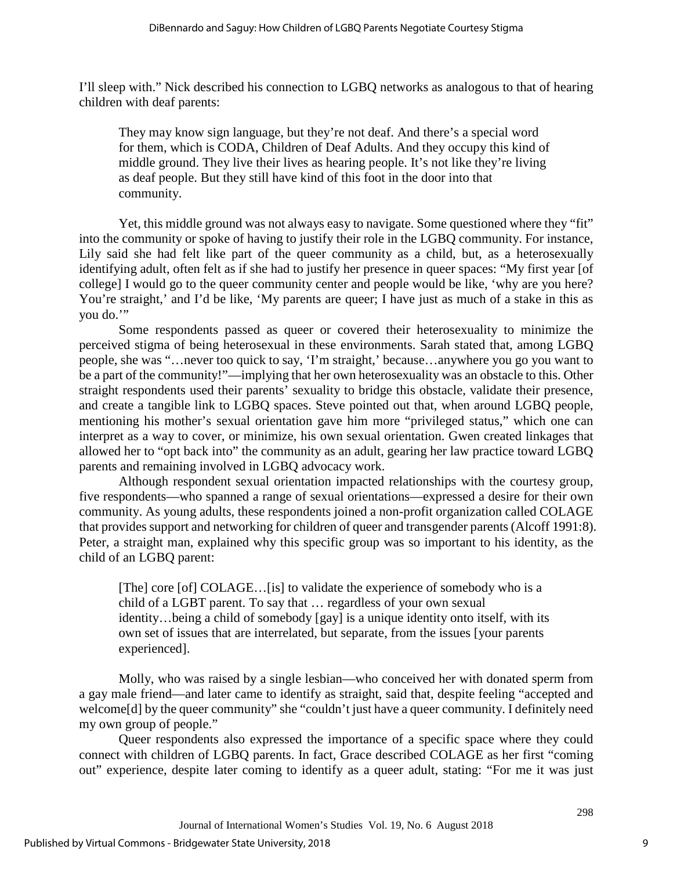I'll sleep with." Nick described his connection to LGBQ networks as analogous to that of hearing children with deaf parents:

They may know sign language, but they're not deaf. And there's a special word for them, which is CODA, Children of Deaf Adults. And they occupy this kind of middle ground. They live their lives as hearing people. It's not like they're living as deaf people. But they still have kind of this foot in the door into that community.

Yet, this middle ground was not always easy to navigate. Some questioned where they "fit" into the community or spoke of having to justify their role in the LGBQ community. For instance, Lily said she had felt like part of the queer community as a child, but, as a heterosexually identifying adult, often felt as if she had to justify her presence in queer spaces: "My first year [of college] I would go to the queer community center and people would be like, 'why are you here? You're straight,' and I'd be like, 'My parents are queer; I have just as much of a stake in this as you do."

Some respondents passed as queer or covered their heterosexuality to minimize the perceived stigma of being heterosexual in these environments. Sarah stated that, among LGBQ people, she was "…never too quick to say, 'I'm straight,' because…anywhere you go you want to be a part of the community!"—implying that her own heterosexuality was an obstacle to this. Other straight respondents used their parents' sexuality to bridge this obstacle, validate their presence, and create a tangible link to LGBQ spaces. Steve pointed out that, when around LGBQ people, mentioning his mother's sexual orientation gave him more "privileged status," which one can interpret as a way to cover, or minimize, his own sexual orientation. Gwen created linkages that allowed her to "opt back into" the community as an adult, gearing her law practice toward LGBQ parents and remaining involved in LGBQ advocacy work.

Although respondent sexual orientation impacted relationships with the courtesy group, five respondents—who spanned a range of sexual orientations—expressed a desire for their own community. As young adults, these respondents joined a non-profit organization called COLAGE that provides support and networking for children of queer and transgender parents [\(Alcoff 1991:8\)](#page-13-16). Peter, a straight man, explained why this specific group was so important to his identity, as the child of an LGBQ parent:

[The] core [of] COLAGE…[is] to validate the experience of somebody who is a child of a LGBT parent. To say that … regardless of your own sexual identity…being a child of somebody [gay] is a unique identity onto itself, with its own set of issues that are interrelated, but separate, from the issues [your parents experienced].

Molly, who was raised by a single lesbian—who conceived her with donated sperm from a gay male friend—and later came to identify as straight, said that, despite feeling "accepted and welcome<sup>[d]</sup> by the queer community" she "couldn't just have a queer community. I definitely need my own group of people."

Queer respondents also expressed the importance of a specific space where they could connect with children of LGBQ parents. In fact, Grace described COLAGE as her first "coming out" experience, despite later coming to identify as a queer adult, stating: "For me it was just

9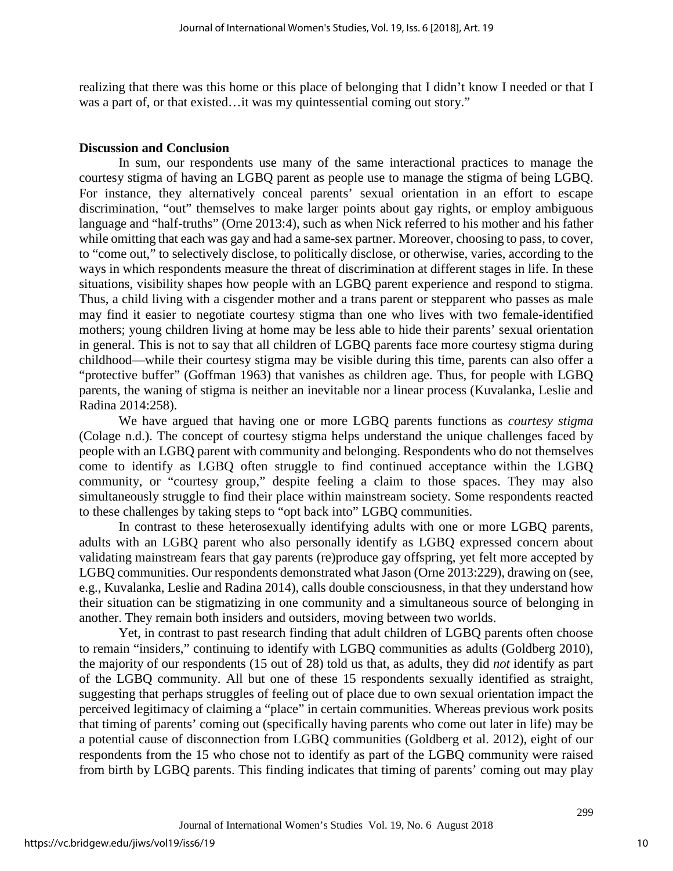realizing that there was this home or this place of belonging that I didn't know I needed or that I was a part of, or that existed…it was my quintessential coming out story."

#### **Discussion and Conclusion**

In sum, our respondents use many of the same interactional practices to manage the courtesy stigma of having an LGBQ parent as people use to manage the stigma of being LGBQ. For instance, they alternatively conceal parents' sexual orientation in an effort to escape discrimination, "out" themselves to make larger points about gay rights, or employ ambiguous language and "half-truths" [\(Orne 2013:4\)](#page-15-13), such as when Nick referred to his mother and his father while omitting that each was gay and had a same-sex partner. Moreover, choosing to pass, to cover, to "come out," to selectively disclose, to politically disclose, or otherwise, varies, according to the ways in which respondents measure the threat of discrimination at different stages in life. In these situations, visibility shapes how people with an LGBQ parent experience and respond to stigma. Thus, a child living with a cisgender mother and a trans parent or stepparent who passes as male may find it easier to negotiate courtesy stigma than one who lives with two female-identified mothers; young children living at home may be less able to hide their parents' sexual orientation in general. This is not to say that all children of LGBQ parents face more courtesy stigma during childhood—while their courtesy stigma may be visible during this time, parents can also offer a "protective buffer" (Goffman 1963) that vanishes as children age. Thus, for people with LGBQ parents, the waning of stigma is neither an inevitable nor a linear process [\(Kuvalanka, Leslie and](#page-14-4)  [Radina 2014:258\)](#page-14-4).

We have argued that having one or more LGBQ parents functions as *courtesy stigma* [\(Colage n.d.\)](#page-13-17). The concept of courtesy stigma helps understand the unique challenges faced by people with an LGBQ parent with community and belonging. Respondents who do not themselves come to identify as LGBQ often struggle to find continued acceptance within the LGBQ community, or "courtesy group," despite feeling a claim to those spaces. They may also simultaneously struggle to find their place within mainstream society. Some respondents reacted to these challenges by taking steps to "opt back into" LGBQ communities.

In contrast to these heterosexually identifying adults with one or more LGBQ parents, adults with an LGBQ parent who also personally identify as LGBQ expressed concern about validating mainstream fears that gay parents (re)produce gay offspring, yet felt more accepted by LGBQ communities. Our respondents demonstrated what Jason [\(Orne 2013:229\)](#page-15-13), drawing on [\(see,](#page-14-4)  [e.g., Kuvalanka, Leslie and Radina 2014\)](#page-14-4), calls double consciousness, in that they understand how their situation can be stigmatizing in one community and a simultaneous source of belonging in another. They remain both insiders and outsiders, moving between two worlds.

Yet, in contrast to past research finding that adult children of LGBQ parents often choose to remain "insiders," continuing to identify with LGBQ communities as adults (Goldberg 2010), the majority of our respondents (15 out of 28) told us that, as adults, they did *not* identify as part of the LGBQ community. All but one of these 15 respondents sexually identified as straight, suggesting that perhaps struggles of feeling out of place due to own sexual orientation impact the perceived legitimacy of claiming a "place" in certain communities. Whereas previous work posits that timing of parents' coming out (specifically having parents who come out later in life) may be a potential cause of disconnection from LGBQ communities (Goldberg et al. 2012), eight of our respondents from the 15 who chose not to identify as part of the LGBQ community were raised from birth by LGBQ parents. This finding indicates that timing of parents' coming out may play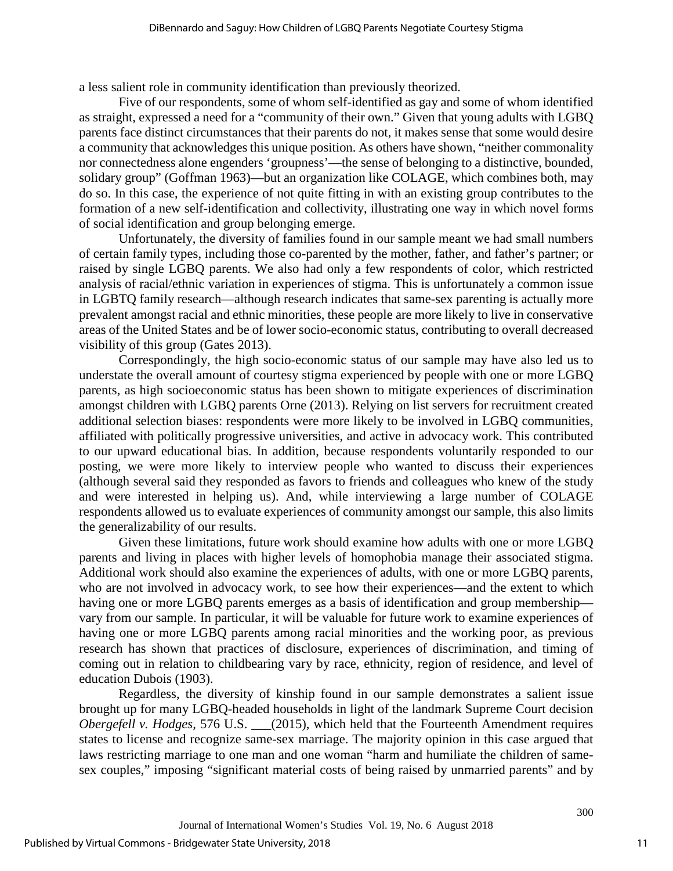a less salient role in community identification than previously theorized.

Five of our respondents, some of whom self-identified as gay and some of whom identified as straight, expressed a need for a "community of their own." Given that young adults with LGBQ parents face distinct circumstances that their parents do not, it makes sense that some would desire a community that acknowledges this unique position. As others have shown, "neither commonality nor connectedness alone engenders 'groupness'—the sense of belonging to a distinctive, bounded, solidary group" [\(Goffman 1963\)](#page-13-4)—but an organization like COLAGE, which combines both, may do so. In this case, the experience of not quite fitting in with an existing group contributes to the formation of a new self-identification and collectivity, illustrating one way in which novel forms of social identification and group belonging emerge.

Unfortunately, the diversity of families found in our sample meant we had small numbers of certain family types, including those co-parented by the mother, father, and father's partner; or raised by single LGBQ parents. We also had only a few respondents of color, which restricted analysis of racial/ethnic variation in experiences of stigma. This is unfortunately a common issue in LGBTQ family research—although research indicates that same-sex parenting is actually more prevalent amongst racial and ethnic minorities, these people are more likely to live in conservative areas of the United States and be of lower socio-economic status, contributing to overall decreased visibility of this group [\(Gates 2013\)](#page-13-0).

Correspondingly, the high socio-economic status of our sample may have also led us to understate the overall amount of courtesy stigma experienced by people with one or more LGBQ parents, as high socioeconomic status has been shown to mitigate experiences of discrimination amongst children with LGBQ parents [Orne \(2013\).](#page-15-13) Relying on list servers for recruitment created additional selection biases: respondents were more likely to be involved in LGBQ communities, affiliated with politically progressive universities, and active in advocacy work. This contributed to our upward educational bias. In addition, because respondents voluntarily responded to our posting, we were more likely to interview people who wanted to discuss their experiences (although several said they responded as favors to friends and colleagues who knew of the study and were interested in helping us). And, while interviewing a large number of COLAGE respondents allowed us to evaluate experiences of community amongst our sample, this also limits the generalizability of our results.

Given these limitations, future work should examine how adults with one or more LGBQ parents and living in places with higher levels of homophobia manage their associated stigma. Additional work should also examine the experiences of adults, with one or more LGBQ parents, who are not involved in advocacy work, to see how their experiences—and the extent to which having one or more LGBQ parents emerges as a basis of identification and group membership vary from our sample. In particular, it will be valuable for future work to examine experiences of having one or more LGBQ parents among racial minorities and the working poor, as previous research has shown that practices of disclosure, experiences of discrimination, and timing of coming out in relation to childbearing vary by race, ethnicity, region of residence, and level of education [Dubois \(1903\).](#page-13-18)

Regardless, the diversity of kinship found in our sample demonstrates a salient issue brought up for many LGBQ-headed households in light of the landmark Supreme Court decision *Obergefell v. Hodges,* 576 U.S. \_\_\_(2015), which held that the Fourteenth Amendment requires states to license and recognize same-sex marriage. The majority opinion in this case argued that laws restricting marriage to one man and one woman "harm and humiliate the children of samesex couples," imposing "significant material costs of being raised by unmarried parents" and by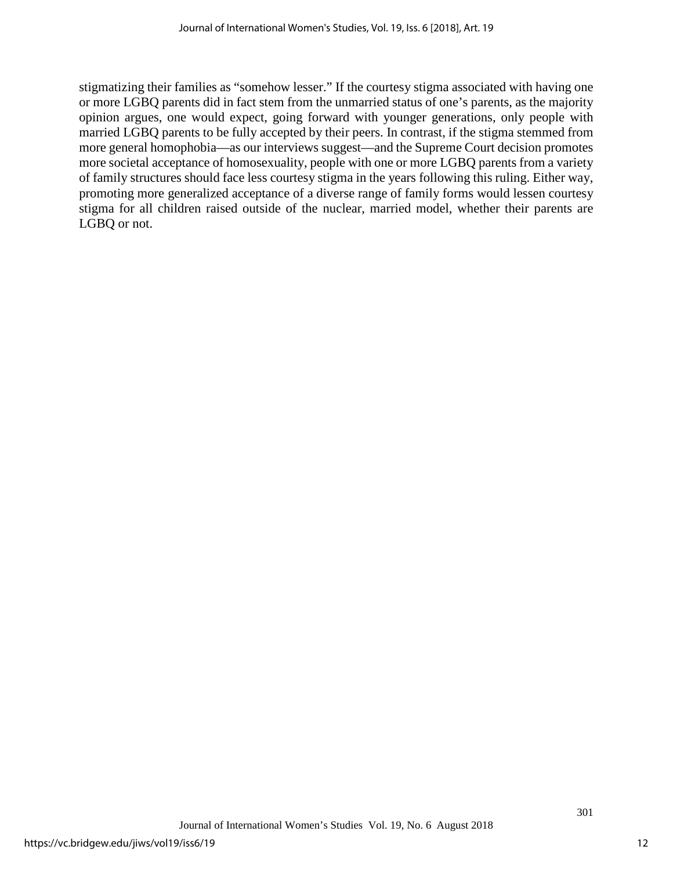stigmatizing their families as "somehow lesser." If the courtesy stigma associated with having one or more LGBQ parents did in fact stem from the unmarried status of one's parents, as the majority opinion argues, one would expect, going forward with younger generations, only people with married LGBQ parents to be fully accepted by their peers. In contrast, if the stigma stemmed from more general homophobia—as our interviews suggest—and the Supreme Court decision promotes more societal acceptance of homosexuality, people with one or more LGBQ parents from a variety of family structures should face less courtesy stigma in the years following this ruling. Either way, promoting more generalized acceptance of a diverse range of family forms would lessen courtesy stigma for all children raised outside of the nuclear, married model, whether their parents are LGBQ or not.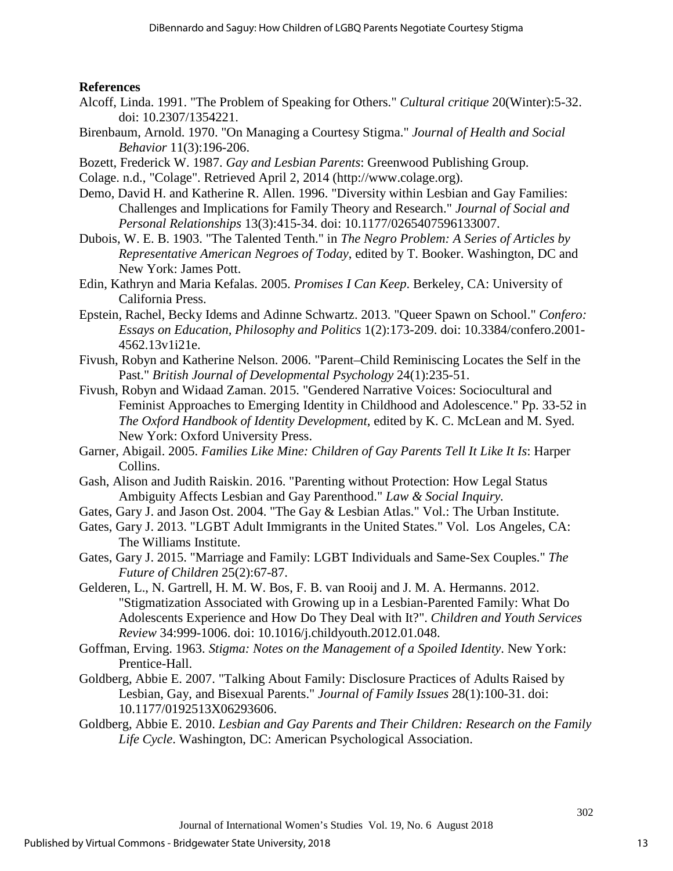## **References**

- <span id="page-13-16"></span>Alcoff, Linda. 1991. "The Problem of Speaking for Others." *Cultural critique* 20(Winter):5-32. doi: 10.2307/1354221.
- <span id="page-13-5"></span>Birenbaum, Arnold. 1970. "On Managing a Courtesy Stigma." *Journal of Health and Social Behavior* 11(3):196-206.
- <span id="page-13-8"></span>Bozett, Frederick W. 1987. *Gay and Lesbian Parents*: Greenwood Publishing Group.
- <span id="page-13-17"></span>Colage. n.d., "Colage". Retrieved April 2, 2014 (http://www.colage.org).
- <span id="page-13-12"></span>Demo, David H. and Katherine R. Allen. 1996. "Diversity within Lesbian and Gay Families: Challenges and Implications for Family Theory and Research." *Journal of Social and Personal Relationships* 13(3):415-34. doi: 10.1177/0265407596133007.
- <span id="page-13-18"></span>Dubois, W. E. B. 1903. "The Talented Tenth." in *The Negro Problem: A Series of Articles by Representative American Negroes of Today*, edited by T. Booker. Washington, DC and New York: James Pott.
- <span id="page-13-2"></span>Edin, Kathryn and Maria Kefalas. 2005. *Promises I Can Keep*. Berkeley, CA: University of California Press.
- <span id="page-13-7"></span>Epstein, Rachel, Becky Idems and Adinne Schwartz. 2013. "Queer Spawn on School." *Confero: Essays on Education, Philosophy and Politics* 1(2):173-209. doi: 10.3384/confero.2001- 4562.13v1i21e.
- <span id="page-13-14"></span>Fivush, Robyn and Katherine Nelson. 2006. "Parent–Child Reminiscing Locates the Self in the Past." *British Journal of Developmental Psychology* 24(1):235-51.
- <span id="page-13-15"></span>Fivush, Robyn and Widaad Zaman. 2015. "Gendered Narrative Voices: Sociocultural and Feminist Approaches to Emerging Identity in Childhood and Adolescence." Pp. 33-52 in *The Oxford Handbook of Identity Development*, edited by K. C. McLean and M. Syed. New York: Oxford University Press.
- <span id="page-13-10"></span>Garner, Abigail. 2005. *Families Like Mine: Children of Gay Parents Tell It Like It Is*: Harper Collins.
- <span id="page-13-3"></span>Gash, Alison and Judith Raiskin. 2016. "Parenting without Protection: How Legal Status Ambiguity Affects Lesbian and Gay Parenthood." *Law & Social Inquiry.*
- <span id="page-13-13"></span>Gates, Gary J. and Jason Ost. 2004. "The Gay & Lesbian Atlas." Vol.: The Urban Institute.
- <span id="page-13-0"></span>Gates, Gary J. 2013. "LGBT Adult Immigrants in the United States." Vol. Los Angeles, CA: The Williams Institute.
- <span id="page-13-1"></span>Gates, Gary J. 2015. "Marriage and Family: LGBT Individuals and Same-Sex Couples." *The Future of Children* 25(2):67-87.
- <span id="page-13-6"></span>Gelderen, L., N. Gartrell, H. M. W. Bos, F. B. van Rooij and J. M. A. Hermanns. 2012. "Stigmatization Associated with Growing up in a Lesbian-Parented Family: What Do Adolescents Experience and How Do They Deal with It?". *Children and Youth Services Review* 34:999-1006. doi: 10.1016/j.childyouth.2012.01.048.
- <span id="page-13-4"></span>Goffman, Erving. 1963. *Stigma: Notes on the Management of a Spoiled Identity*. New York: Prentice-Hall.
- <span id="page-13-9"></span>Goldberg, Abbie E. 2007. "Talking About Family: Disclosure Practices of Adults Raised by Lesbian, Gay, and Bisexual Parents." *Journal of Family Issues* 28(1):100-31. doi: 10.1177/0192513X06293606.
- <span id="page-13-11"></span>Goldberg, Abbie E. 2010. *Lesbian and Gay Parents and Their Children: Research on the Family Life Cycle*. Washington, DC: American Psychological Association.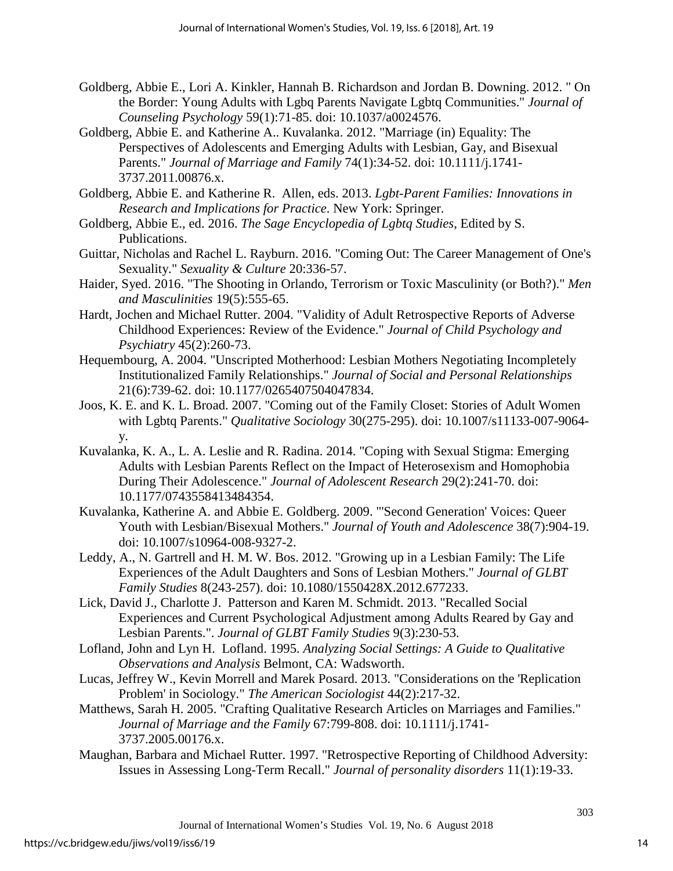- <span id="page-14-0"></span>Goldberg, Abbie E., Lori A. Kinkler, Hannah B. Richardson and Jordan B. Downing. 2012. " On the Border: Young Adults with Lgbq Parents Navigate Lgbtq Communities." *Journal of Counseling Psychology* 59(1):71-85. doi: 10.1037/a0024576.
- <span id="page-14-5"></span>Goldberg, Abbie E. and Katherine A.. Kuvalanka. 2012. "Marriage (in) Equality: The Perspectives of Adolescents and Emerging Adults with Lesbian, Gay, and Bisexual Parents." *Journal of Marriage and Family* 74(1):34-52. doi: 10.1111/j.1741- 3737.2011.00876.x.
- <span id="page-14-1"></span>Goldberg, Abbie E. and Katherine R. Allen, eds. 2013. *Lgbt-Parent Families: Innovations in Research and Implications for Practice*. New York: Springer.
- <span id="page-14-11"></span>Goldberg, Abbie E., ed. 2016. *The Sage Encyclopedia of Lgbtq Studies*, Edited by S. Publications.
- <span id="page-14-9"></span>Guittar, Nicholas and Rachel L. Rayburn. 2016. "Coming Out: The Career Management of One's Sexuality." *Sexuality & Culture* 20:336-57.
- <span id="page-14-2"></span>Haider, Syed. 2016. "The Shooting in Orlando, Terrorism or Toxic Masculinity (or Both?)." *Men and Masculinities* 19(5):555-65.
- <span id="page-14-13"></span>Hardt, Jochen and Michael Rutter. 2004. "Validity of Adult Retrospective Reports of Adverse Childhood Experiences: Review of the Evidence." *Journal of Child Psychology and Psychiatry* 45(2):260-73.
- <span id="page-14-3"></span>Hequembourg, A. 2004. "Unscripted Motherhood: Lesbian Mothers Negotiating Incompletely Institutionalized Family Relationships." *Journal of Social and Personal Relationships* 21(6):739-62. doi: 10.1177/0265407504047834.
- <span id="page-14-7"></span>Joos, K. E. and K. L. Broad. 2007. "Coming out of the Family Closet: Stories of Adult Women with Lgbtq Parents." *Qualitative Sociology* 30(275-295). doi: 10.1007/s11133-007-9064 y.
- <span id="page-14-4"></span>Kuvalanka, K. A., L. A. Leslie and R. Radina. 2014. "Coping with Sexual Stigma: Emerging Adults with Lesbian Parents Reflect on the Impact of Heterosexism and Homophobia During Their Adolescence." *Journal of Adolescent Research* 29(2):241-70. doi: 10.1177/0743558413484354.
- <span id="page-14-10"></span>Kuvalanka, Katherine A. and Abbie E. Goldberg. 2009. "'Second Generation' Voices: Queer Youth with Lesbian/Bisexual Mothers." *Journal of Youth and Adolescence* 38(7):904-19. doi: 10.1007/s10964-008-9327-2.
- <span id="page-14-6"></span>Leddy, A., N. Gartrell and H. M. W. Bos. 2012. "Growing up in a Lesbian Family: The Life Experiences of the Adult Daughters and Sons of Lesbian Mothers." *Journal of GLBT Family Studies* 8(243-257). doi: 10.1080/1550428X.2012.677233.
- <span id="page-14-8"></span>Lick, David J., Charlotte J. Patterson and Karen M. Schmidt. 2013. "Recalled Social Experiences and Current Psychological Adjustment among Adults Reared by Gay and Lesbian Parents.". *Journal of GLBT Family Studies* 9(3):230-53.
- <span id="page-14-15"></span>Lofland, John and Lyn H. Lofland. 1995. *Analyzing Social Settings: A Guide to Qualitative Observations and Analysis* Belmont, CA: Wadsworth.
- <span id="page-14-12"></span>Lucas, Jeffrey W., Kevin Morrell and Marek Posard. 2013. "Considerations on the 'Replication Problem' in Sociology." *The American Sociologist* 44(2):217-32.
- <span id="page-14-16"></span>Matthews, Sarah H. 2005. "Crafting Qualitative Research Articles on Marriages and Families." *Journal of Marriage and the Family* 67:799-808. doi: 10.1111/j.1741- 3737.2005.00176.x.
- <span id="page-14-14"></span>Maughan, Barbara and Michael Rutter. 1997. "Retrospective Reporting of Childhood Adversity: Issues in Assessing Long-Term Recall." *Journal of personality disorders* 11(1):19-33.